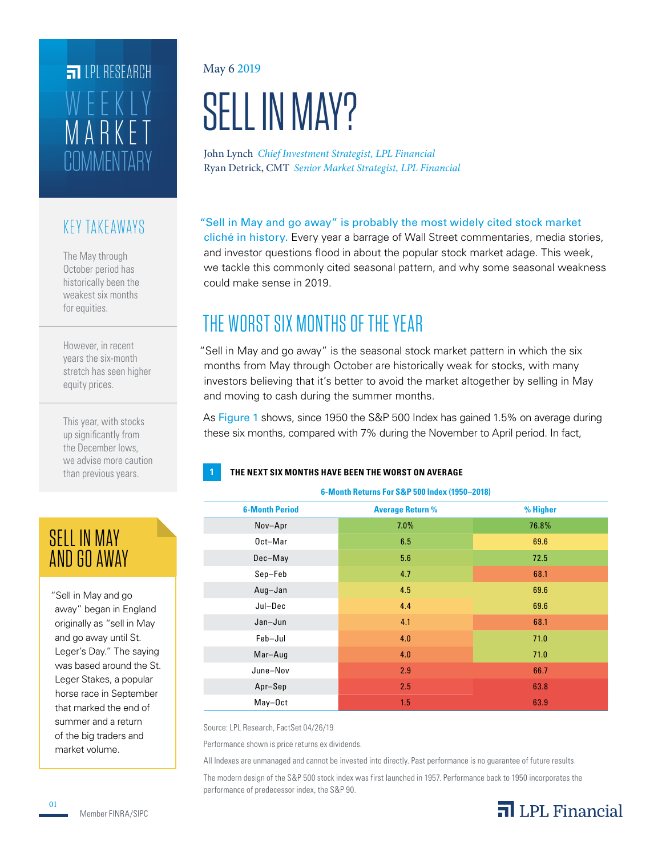## **COMMENTARY** MARKET WEEKLY **ET IPI RESEARCH**

## KEY TAKEAWAYS

The May through October period has historically been the weakest six months for equities.

However, in recent years the six-month stretch has seen higher equity prices.

This year, with stocks up significantly from the December lows, we advise more caution than previous years.

## SELL IN MAY AND GO AWAY

"Sell in May and go away" began in England originally as "sell in May and go away until St. Leger's Day." The saying was based around the St. Leger Stakes, a popular horse race in September that marked the end of summer and a return of the big traders and market volume.

#### May 6 2019

# SELL IN MAY?

John Lynch *Chief Investment Strategist, LPL Financial* Ryan Detrick, CMT *Senior Market Strategist, LPL Financial*

### "Sell in May and go away" is probably the most widely cited stock market

cliché in history. Every year a barrage of Wall Street commentaries, media stories, and investor questions flood in about the popular stock market adage. This week, we tackle this commonly cited seasonal pattern, and why some seasonal weakness could make sense in 2019.

## THE WORST SIX MONTHS OF THE YEAR

"Sell in May and go away" is the seasonal stock market pattern in which the six months from May through October are historically weak for stocks, with many investors believing that it's better to avoid the market altogether by selling in May and moving to cash during the summer months.

As Figure 1 shows, since 1950 the S&P 500 Index has gained 1.5% on average during these six months, compared with 7% during the November to April period. In fact,

**6-Month Returns For S&P 500 Index (1950–2018)**

#### **1 THE NEXT SIX MONTHS HAVE BEEN THE WORST ON AVERAGE**

| <b>6-Month Period</b> | <b>Average Return %</b> | % Higher |  |  |
|-----------------------|-------------------------|----------|--|--|
| Nov-Apr               | 7.0%                    | 76.8%    |  |  |
| Oct-Mar               | 6.5                     | 69.6     |  |  |
| Dec-May               | 5.6                     | 72.5     |  |  |
| Sep-Feb               | 4.7                     | 68.1     |  |  |
| Aug-Jan               | 4.5                     | 69.6     |  |  |
| Jul-Dec               | 4.4                     | 69.6     |  |  |
| Jan-Jun               | 4.1                     | 68.1     |  |  |
| Feb-Jul               | 4.0                     | 71.0     |  |  |
| Mar-Aug               | 4.0                     | 71.0     |  |  |
| June-Nov              | 2.9                     | 66.7     |  |  |
| Apr-Sep               | 2.5                     | 63.8     |  |  |
| May-Oct               | 1.5                     | 63.9     |  |  |

Source: LPL Research, FactSet 04/26/19

Performance shown is price returns ex dividends.

All Indexes are unmanaged and cannot be invested into directly. Past performance is no guarantee of future results. The modern design of the S&P 500 stock index was first launched in 1957. Performance back to 1950 incorporates the performance of predecessor index, the S&P 90.

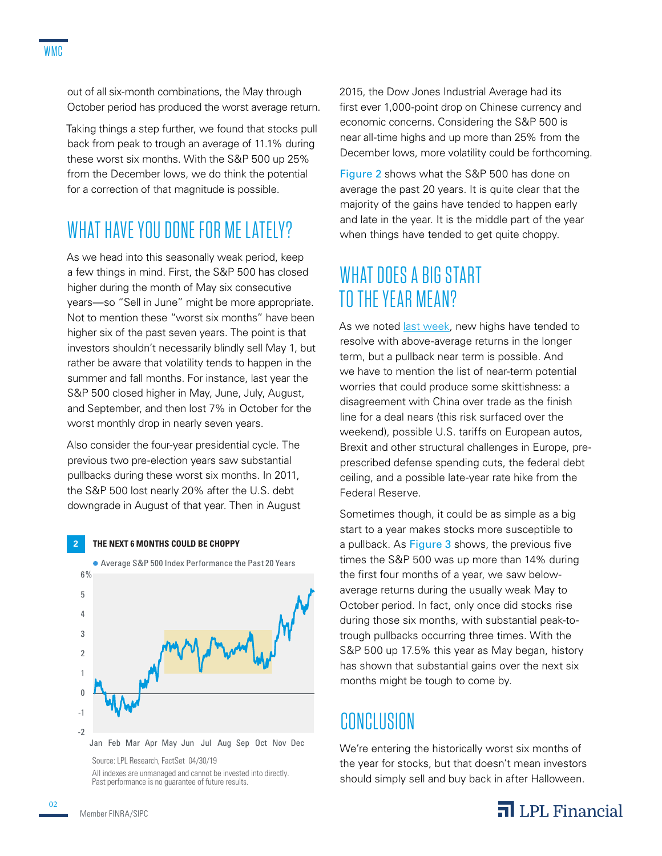out of all six-month combinations, the May through October period has produced the worst average return.

Taking things a step further, we found that stocks pull back from peak to trough an average of 11.1% during these worst six months. With the S&P 500 up 25% from the December lows, we do think the potential for a correction of that magnitude is possible.

## WHAT HAVE YOU DONE FOR ME LATELY?

As we head into this seasonally weak period, keep a few things in mind. First, the S&P 500 has closed higher during the month of May six consecutive years—so "Sell in June" might be more appropriate. Not to mention these "worst six months" have been higher six of the past seven years. The point is that investors shouldn't necessarily blindly sell May 1, but rather be aware that volatility tends to happen in the summer and fall months. For instance, last year the S&P 500 closed higher in May, June, July, August, and September, and then lost 7% in October for the worst monthly drop in nearly seven years.

Also consider the four-year presidential cycle. The previous two pre-election years saw substantial pullbacks during these worst six months. In 2011, the S&P 500 lost nearly 20% after the U.S. debt downgrade in August of that year. Then in August

#### **2 THE NEXT 6 MONTHS COULD BE CHOPPY**



Source: LPL Research, FactSet 04/30/19 All indexes are unmanaged and cannot be invested into directly. Past performance is no quarantee of future results.

2015, the Dow Jones Industrial Average had its first ever 1,000-point drop on Chinese currency and economic concerns. Considering the S&P 500 is near all-time highs and up more than 25% from the December lows, more volatility could be forthcoming.

Figure 2 shows what the S&P 500 has done on average the past 20 years. It is quite clear that the majority of the gains have tended to happen early and late in the year. It is the middle part of the year when things have tended to get quite choppy.

## WHAT DOES A BIG START TO THE YEAR MEAN?

As we noted *last week*, new highs have tended to resolve with above-average returns in the longer term, but a pullback near term is possible. And we have to mention the list of near-term potential worries that could produce some skittishness: a disagreement with China over trade as the finish line for a deal nears (this risk surfaced over the weekend), possible U.S. tariffs on European autos, Brexit and other structural challenges in Europe, preprescribed defense spending cuts, the federal debt ceiling, and a possible late-year rate hike from the Federal Reserve.

Sometimes though, it could be as simple as a big start to a year makes stocks more susceptible to a pullback. As Figure 3 shows, the previous five times the S&P 500 was up more than 14% during the first four months of a year, we saw belowaverage returns during the usually weak May to October period. In fact, only once did stocks rise during those six months, with substantial peak-totrough pullbacks occurring three times. With the S&P 500 up 17.5% this year as May began, history has shown that substantial gains over the next six months might be tough to come by.

## CONCLUSION

We're entering the historically worst six months of the year for stocks, but that doesn't mean investors should simply sell and buy back in after Halloween.

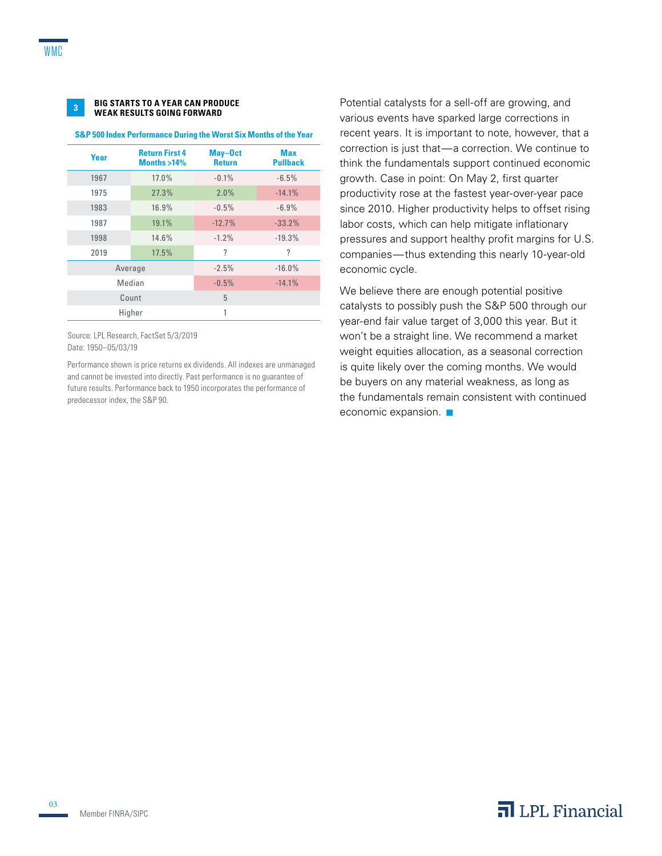

#### **BIG STARTS TO A YEAR CAN PRODUCE WEAK RESULTS GOING FORWARD <sup>3</sup>**

#### **S&P 500 Index Performance During the Worst Six Months of the Year**

| Year | <b>Return First 4</b><br>Months $>14\%$ | May-Oct<br><b>Return</b> | <b>Max</b><br><b>Pullback</b> |
|------|-----------------------------------------|--------------------------|-------------------------------|
| 1967 | 17.0%                                   | $-0.1%$                  | $-6.5%$                       |
| 1975 | 27.3%                                   | 2.0%                     | $-14.1%$                      |
| 1983 | 16.9%                                   | $-0.5%$                  | $-6.9%$                       |
| 1987 | 19.1%                                   | $-12.7%$                 | $-33.2%$                      |
| 1998 | 14.6%                                   | $-1.2%$                  | $-19.3%$                      |
| 2019 | 17.5%                                   | ?                        | ?                             |
|      | Average                                 | $-2.5%$                  | $-16.0%$                      |
|      | Median                                  | $-0.5%$                  | $-14.1%$                      |
|      | Count                                   | 5                        |                               |
|      | Higher                                  | 1                        |                               |

Source: LPL Research, FactSet 5/3/2019 Date: 1950–05/03/19

Performance shown is price returns ex dividends. All indexes are unmanaged and cannot be invested into directly. Past performance is no guarantee of future results. Performance back to 1950 incorporates the performance of predecessor index, the S&P 90.

Potential catalysts for a sell-off are growing, and various events have sparked large corrections in recent years. It is important to note, however, that a correction is just that-a correction. We continue to think the fundamentals support continued economic growth. Case in point: On May 2, first quarter productivity rose at the fastest year-over-year pace since 2010. Higher productivity helps to offset rising labor costs, which can help mitigate inflationary pressures and support healthy profit margins for U.S. companies — thus extending this nearly 10-year-old economic cycle.

We believe there are enough potential positive catalysts to possibly push the S&P 500 through our year-end fair value target of 3,000 this year. But it won't be a straight line. We recommend a market weight equities allocation, as a seasonal correction is quite likely over the coming months. We would be buyers on any material weakness, as long as the fundamentals remain consistent with continued economic expansion.  $\blacksquare$ 

Member FINRA/SIPC

03

## $\overline{\mathbf{a}}$  LPL Financial